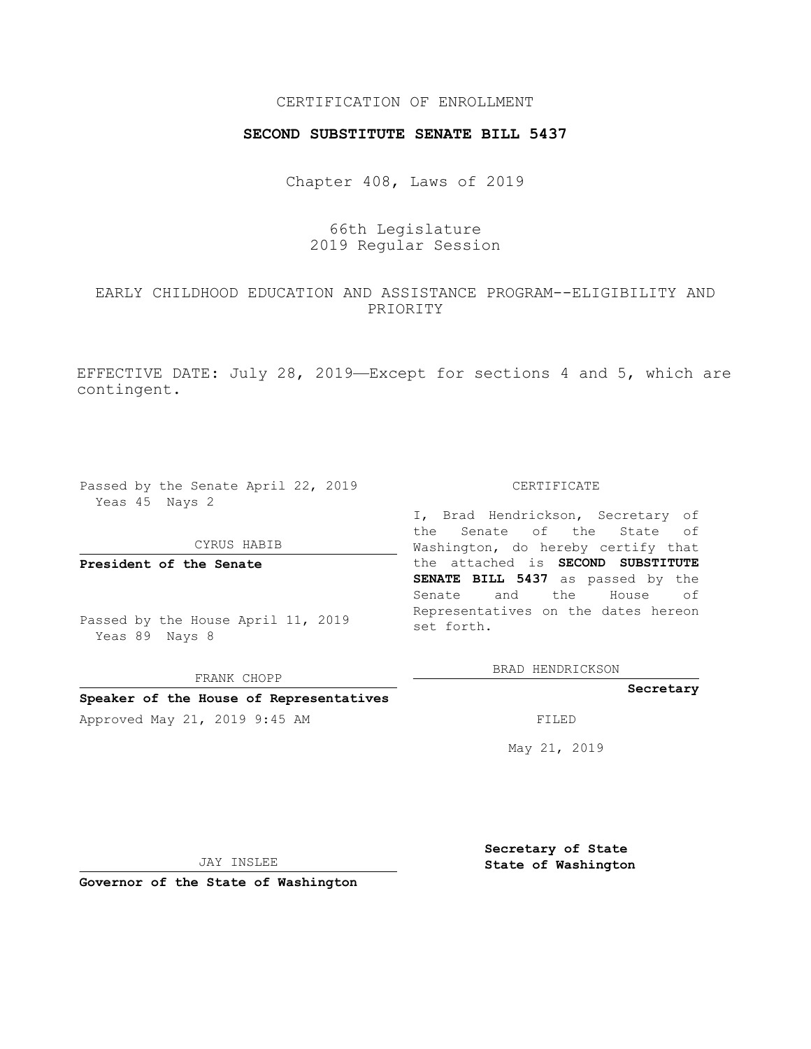## CERTIFICATION OF ENROLLMENT

### **SECOND SUBSTITUTE SENATE BILL 5437**

Chapter 408, Laws of 2019

# 66th Legislature 2019 Regular Session

## EARLY CHILDHOOD EDUCATION AND ASSISTANCE PROGRAM--ELIGIBILITY AND PRIORITY

EFFECTIVE DATE: July 28, 2019—Except for sections 4 and 5, which are contingent.

Passed by the Senate April 22, 2019 Yeas 45 Nays 2

#### CYRUS HABIB

FRANK CHOPP **Speaker of the House of Representatives**

**President of the Senate**

Passed by the House April 11, 2019 Yeas 89 Nays 8

### CERTIFICATE

I, Brad Hendrickson, Secretary of the Senate of the State of Washington, do hereby certify that the attached is **SECOND SUBSTITUTE SENATE BILL 5437** as passed by the Senate and the House of Representatives on the dates hereon set forth.

BRAD HENDRICKSON

### **Secretary**

Approved May 21, 2019 9:45 AM FILED

May 21, 2019

JAY INSLEE

**Governor of the State of Washington**

**Secretary of State State of Washington**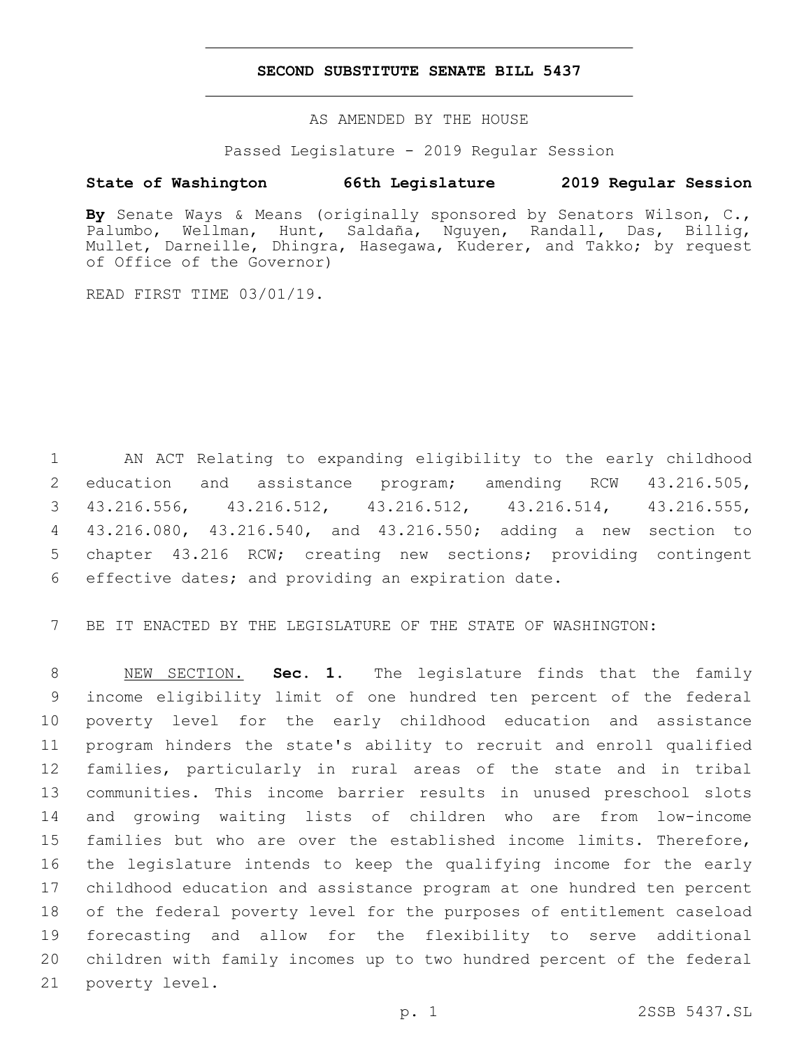## **SECOND SUBSTITUTE SENATE BILL 5437**

AS AMENDED BY THE HOUSE

Passed Legislature - 2019 Regular Session

## **State of Washington 66th Legislature 2019 Regular Session**

**By** Senate Ways & Means (originally sponsored by Senators Wilson, C., Palumbo, Wellman, Hunt, Saldaña, Nguyen, Randall, Das, Billig, Mullet, Darneille, Dhingra, Hasegawa, Kuderer, and Takko; by request of Office of the Governor)

READ FIRST TIME 03/01/19.

 AN ACT Relating to expanding eligibility to the early childhood education and assistance program; amending RCW 43.216.505, 43.216.556, 43.216.512, 43.216.512, 43.216.514, 43.216.555, 43.216.080, 43.216.540, and 43.216.550; adding a new section to chapter 43.216 RCW; creating new sections; providing contingent 6 effective dates; and providing an expiration date.

BE IT ENACTED BY THE LEGISLATURE OF THE STATE OF WASHINGTON:

 NEW SECTION. **Sec. 1.** The legislature finds that the family income eligibility limit of one hundred ten percent of the federal poverty level for the early childhood education and assistance program hinders the state's ability to recruit and enroll qualified families, particularly in rural areas of the state and in tribal communities. This income barrier results in unused preschool slots and growing waiting lists of children who are from low-income families but who are over the established income limits. Therefore, the legislature intends to keep the qualifying income for the early childhood education and assistance program at one hundred ten percent of the federal poverty level for the purposes of entitlement caseload forecasting and allow for the flexibility to serve additional children with family incomes up to two hundred percent of the federal poverty level.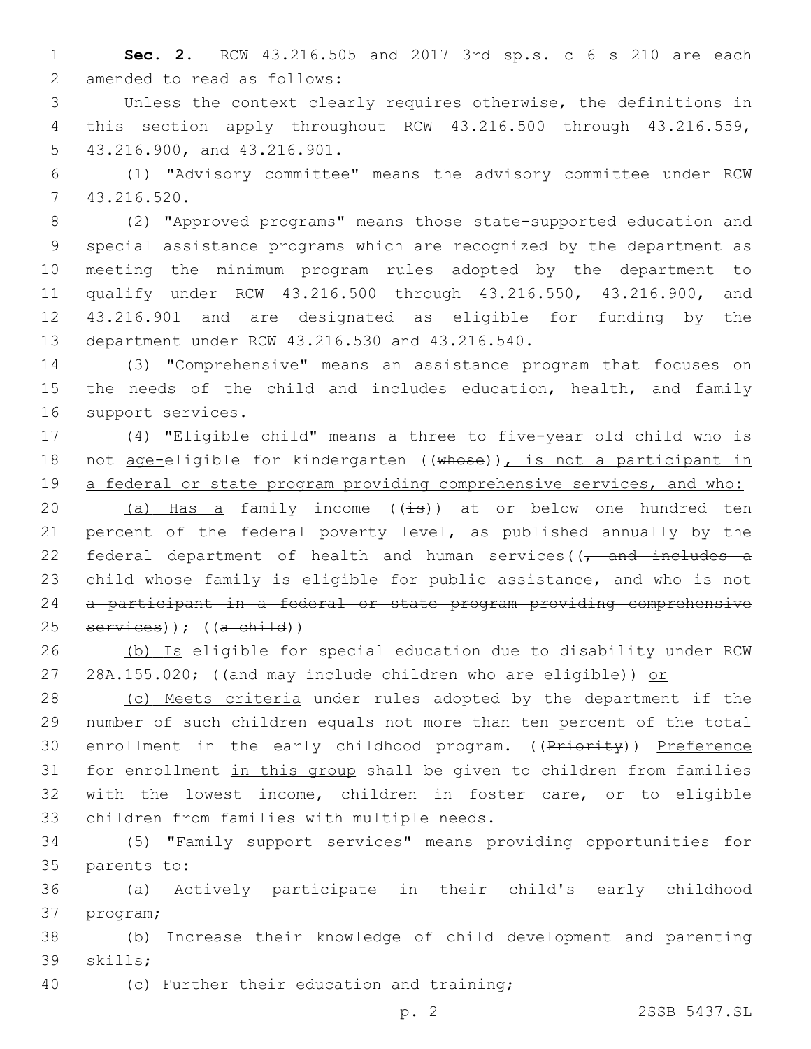1 **Sec. 2.** RCW 43.216.505 and 2017 3rd sp.s. c 6 s 210 are each 2 amended to read as follows:

3 Unless the context clearly requires otherwise, the definitions in 4 this section apply throughout RCW 43.216.500 through 43.216.559, 5 43.216.900, and 43.216.901.

6 (1) "Advisory committee" means the advisory committee under RCW 43.216.520.7

 (2) "Approved programs" means those state-supported education and special assistance programs which are recognized by the department as meeting the minimum program rules adopted by the department to qualify under RCW 43.216.500 through 43.216.550, 43.216.900, and 43.216.901 and are designated as eligible for funding by the 13 department under RCW 43.216.530 and 43.216.540.

14 (3) "Comprehensive" means an assistance program that focuses on 15 the needs of the child and includes education, health, and family 16 support services.

17 (4) "Eligible child" means a three to five-year old child who is 18 not age-eligible for kindergarten ((whose)), is not a participant in 19 a federal or state program providing comprehensive services, and who:

20 (a) Has a family income  $(\pm s)$  at or below one hundred ten 21 percent of the federal poverty level, as published annually by the 22 federal department of health and human services( $\sqrt{t}$  and includes a 23 child whose family is eligible for public assistance, and who is not 24 a participant in a federal or state program providing comprehensive 25 services)); ((a child))

26 (b) Is eligible for special education due to disability under RCW 27 28A.155.020; ((and may include children who are eligible)) or

28 (c) Meets criteria under rules adopted by the department if the 29 number of such children equals not more than ten percent of the total 30 enrollment in the early childhood program. ((Priority)) Preference 31 for enrollment in this group shall be given to children from families 32 with the lowest income, children in foster care, or to eligible 33 children from families with multiple needs.

34 (5) "Family support services" means providing opportunities for 35 parents to:

36 (a) Actively participate in their child's early childhood 37 program;

38 (b) Increase their knowledge of child development and parenting 39 skills;

40 (c) Further their education and training;

p. 2 2SSB 5437.SL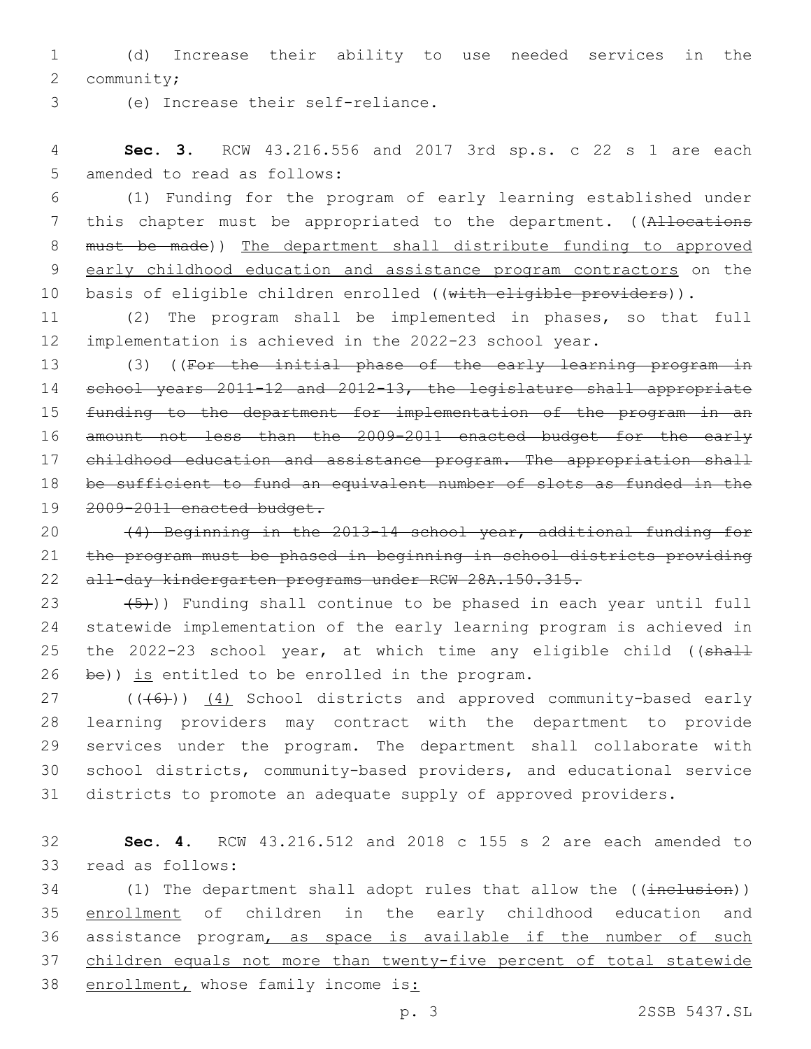1 (d) Increase their ability to use needed services in the 2 community;

(e) Increase their self-reliance.3

4 **Sec. 3.** RCW 43.216.556 and 2017 3rd sp.s. c 22 s 1 are each 5 amended to read as follows:

6 (1) Funding for the program of early learning established under 7 this chapter must be appropriated to the department. ((Allocations 8 must be made)) The department shall distribute funding to approved 9 early childhood education and assistance program contractors on the 10 basis of eligible children enrolled ((with eligible providers)).

11 (2) The program shall be implemented in phases, so that full 12 implementation is achieved in the 2022-23 school year.

13 (3) ((For the initial phase of the early learning program in school years 2011-12 and 2012-13, the legislature shall appropriate funding to the department for implementation of the program in an amount not less than the 2009-2011 enacted budget for the early 17 childhood education and assistance program. The appropriation shall be sufficient to fund an equivalent number of slots as funded in the 2009-2011 enacted budget.

20 (4) Beginning in the 2013-14 school year, additional funding for 21 the program must be phased in beginning in school districts providing 22 all-day kindergarten programs under RCW 28A.150.315.

 $(5)$ )) Funding shall continue to be phased in each year until full statewide implementation of the early learning program is achieved in 25 the 2022-23 school year, at which time any eligible child ((shall be)) is entitled to be enrolled in the program.

27 (((46)) (4) School districts and approved community-based early learning providers may contract with the department to provide services under the program. The department shall collaborate with school districts, community-based providers, and educational service districts to promote an adequate supply of approved providers.

32 **Sec. 4.** RCW 43.216.512 and 2018 c 155 s 2 are each amended to 33 read as follows:

34 (1) The department shall adopt rules that allow the ((inclusion)) 35 enrollment of children in the early childhood education and 36 assistance program, as space is available if the number of such 37 children equals not more than twenty-five percent of total statewide 38 enrollment, whose family income is: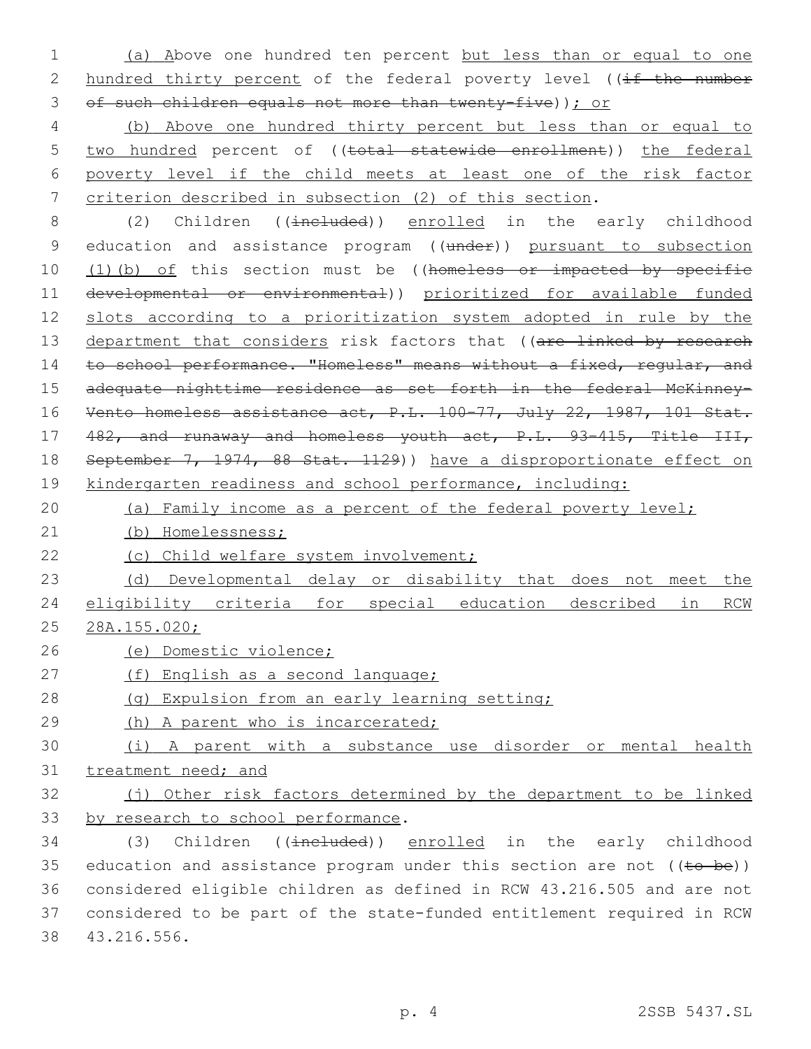1 (a) Above one hundred ten percent but less than or equal to one 2 hundred thirty percent of the federal poverty level ((if the number 3 of such children equals not more than twenty-five)); or

 (b) Above one hundred thirty percent but less than or equal to 5 two hundred percent of ((total statewide enrollment)) the federal poverty level if the child meets at least one of the risk factor criterion described in subsection (2) of this section.

8 (2) Children ((included)) enrolled in the early childhood 9 education and assistance program ((under)) pursuant to subsection 10 (1)(b) of this section must be ((homeless or impacted by specific 11 developmental or environmental)) prioritized for available funded 12 slots according to a prioritization system adopted in rule by the 13 department that considers risk factors that ((are linked by research 14 to school performance. "Homeless" means without a fixed, regular, and 15 adequate nighttime residence as set forth in the federal McKinney-16 Vento homeless assistance act, P.L. 100-77, July 22, 1987, 101 Stat. 17 482, and runaway and homeless youth act, P.L. 93–415, Title III, 18 September 7, 1974, 88 Stat. 1129)) have a disproportionate effect on 19 kindergarten readiness and school performance, including:

20 (a) Family income as a percent of the federal poverty level;

21 (b) Homelessness;

22 (c) Child welfare system involvement;

23 (d) Developmental delay or disability that does not meet the 24 eligibility criteria for special education described in RCW 25 28A.155.020;

- 26 (e) Domestic violence;
- 27 (f) English as a second language;
- 28 (g) Expulsion from an early learning setting;
- 29 (h) A parent who is incarcerated;

30 (i) A parent with a substance use disorder or mental health 31 treatment need; and

32 (j) Other risk factors determined by the department to be linked 33 by research to school performance.

34 (3) Children ((included)) enrolled in the early childhood 35 education and assistance program under this section are not  $((\text{tee} - \text{be}))$ 36 considered eligible children as defined in RCW 43.216.505 and are not 37 considered to be part of the state-funded entitlement required in RCW 43.216.556.38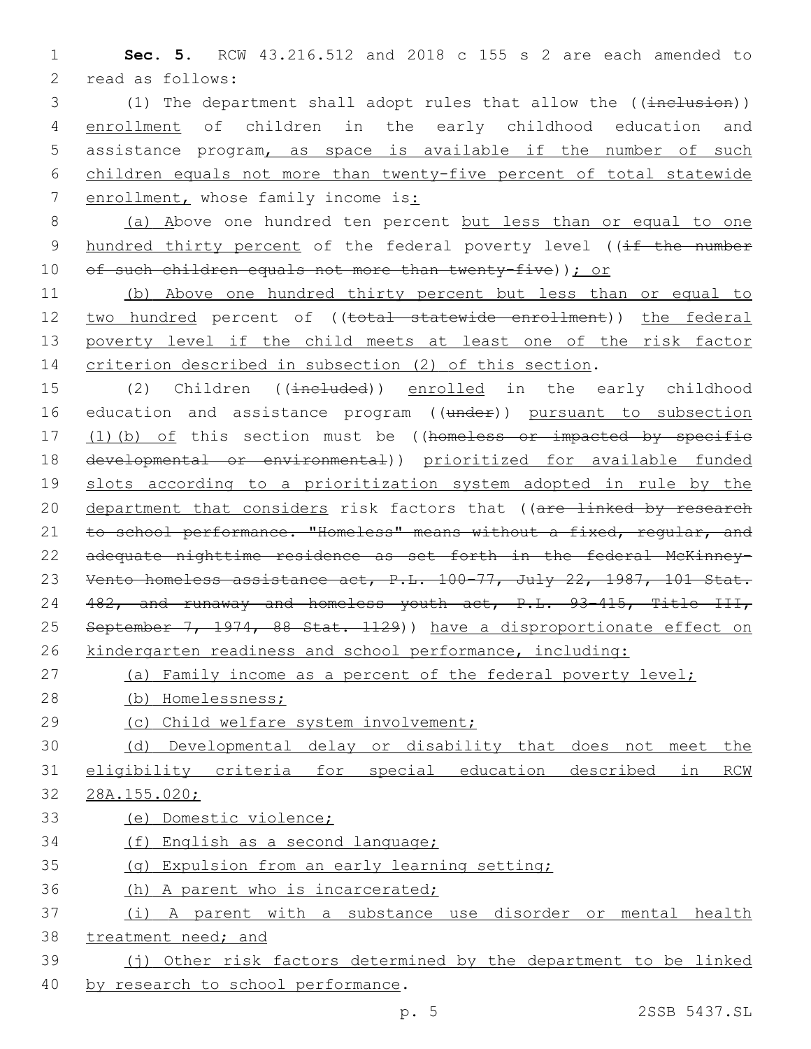**Sec. 5.** RCW 43.216.512 and 2018 c 155 s 2 are each amended to 2 read as follows:

3 (1) The department shall adopt rules that allow the ((inclusion)) enrollment of children in the early childhood education and assistance program, as space is available if the number of such children equals not more than twenty-five percent of total statewide enrollment, whose family income is:

 (a) Above one hundred ten percent but less than or equal to one 9 hundred thirty percent of the federal poverty level ((if the number 10 of such children equals not more than twenty-five)); or

 (b) Above one hundred thirty percent but less than or equal to 12 two hundred percent of ((total statewide enrollment)) the federal poverty level if the child meets at least one of the risk factor criterion described in subsection (2) of this section.

15 (2) Children ((included)) enrolled in the early childhood 16 education and assistance program ((under)) pursuant to subsection 17 (1)(b) of this section must be ((homeless or impacted by specific developmental or environmental)) prioritized for available funded slots according to a prioritization system adopted in rule by the 20 department that considers risk factors that ((are linked by research 21 to school performance. "Homeless" means without a fixed, regular, and adequate nighttime residence as set forth in the federal McKinney- Vento homeless assistance act, P.L. 100–77, July 22, 1987, 101 Stat. 482, and runaway and homeless youth act, P.L. 93–415, Title III, 25 September 7, 1974, 88 Stat. 1129)) have a disproportionate effect on kindergarten readiness and school performance, including:

27 (a) Family income as a percent of the federal poverty level;

(b) Homelessness;

(c) Child welfare system involvement;

 (d) Developmental delay or disability that does not meet the eligibility criteria for special education described in RCW 28A.155.020;

(e) Domestic violence;

(f) English as a second language;

(g) Expulsion from an early learning setting;

(h) A parent who is incarcerated;

- (i) A parent with a substance use disorder or mental health treatment need; and
- (j) Other risk factors determined by the department to be linked 40 by research to school performance.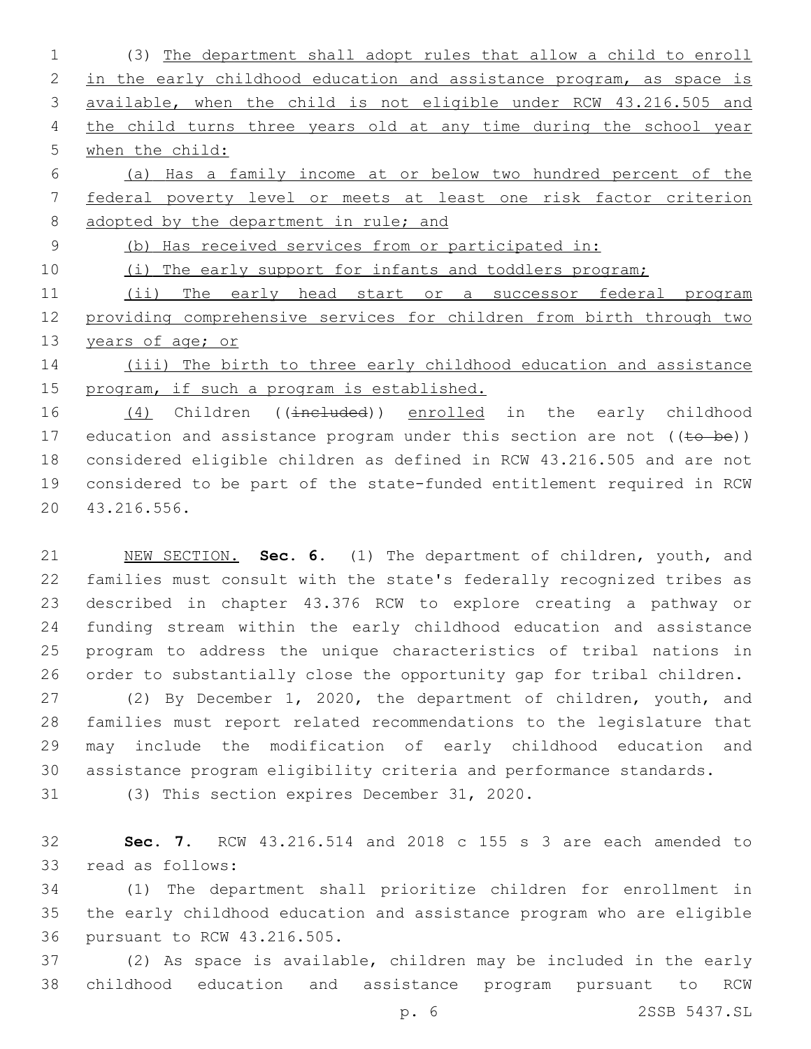(3) The department shall adopt rules that allow a child to enroll 2 in the early childhood education and assistance program, as space is available, when the child is not eligible under RCW 43.216.505 and 4 the child turns three years old at any time during the school year when the child:

 (a) Has a family income at or below two hundred percent of the federal poverty level or meets at least one risk factor criterion 8 adopted by the department in rule; and

(b) Has received services from or participated in:

10 (i) The early support for infants and toddlers program;

11 (ii) The early head start or a successor federal program providing comprehensive services for children from birth through two 13 years of age; or

14 (iii) The birth to three early childhood education and assistance program, if such a program is established.

16 (4) Children ((included)) enrolled in the early childhood 17 education and assistance program under this section are not  $((\pm 0 \pm 0)$  considered eligible children as defined in RCW 43.216.505 and are not considered to be part of the state-funded entitlement required in RCW 43.216.556.20

 NEW SECTION. **Sec. 6.** (1) The department of children, youth, and families must consult with the state's federally recognized tribes as described in chapter 43.376 RCW to explore creating a pathway or funding stream within the early childhood education and assistance program to address the unique characteristics of tribal nations in order to substantially close the opportunity gap for tribal children.

 (2) By December 1, 2020, the department of children, youth, and families must report related recommendations to the legislature that may include the modification of early childhood education and assistance program eligibility criteria and performance standards.

31 (3) This section expires December 31, 2020.

 **Sec. 7.** RCW 43.216.514 and 2018 c 155 s 3 are each amended to 33 read as follows:

 (1) The department shall prioritize children for enrollment in the early childhood education and assistance program who are eligible 36 pursuant to RCW 43.216.505.

 (2) As space is available, children may be included in the early childhood education and assistance program pursuant to RCW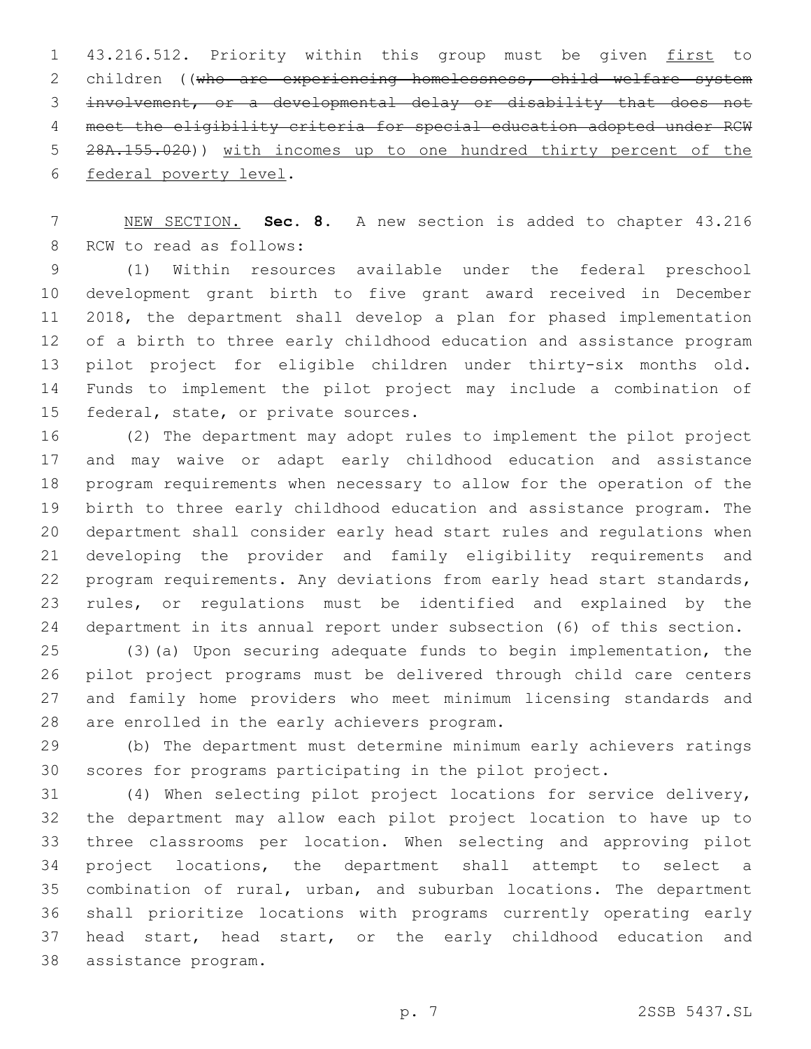43.216.512. Priority within this group must be given first to 2 children ((who are experiencing homelessness, child welfare system involvement, or a developmental delay or disability that does not meet the eligibility criteria for special education adopted under RCW 28A.155.020)) with incomes up to one hundred thirty percent of the 6 federal poverty level.

 NEW SECTION. **Sec. 8.** A new section is added to chapter 43.216 8 RCW to read as follows:

 (1) Within resources available under the federal preschool development grant birth to five grant award received in December 2018, the department shall develop a plan for phased implementation of a birth to three early childhood education and assistance program pilot project for eligible children under thirty-six months old. Funds to implement the pilot project may include a combination of 15 federal, state, or private sources.

 (2) The department may adopt rules to implement the pilot project and may waive or adapt early childhood education and assistance program requirements when necessary to allow for the operation of the birth to three early childhood education and assistance program. The department shall consider early head start rules and regulations when developing the provider and family eligibility requirements and program requirements. Any deviations from early head start standards, rules, or regulations must be identified and explained by the department in its annual report under subsection (6) of this section.

 (3)(a) Upon securing adequate funds to begin implementation, the pilot project programs must be delivered through child care centers and family home providers who meet minimum licensing standards and 28 are enrolled in the early achievers program.

 (b) The department must determine minimum early achievers ratings scores for programs participating in the pilot project.

 (4) When selecting pilot project locations for service delivery, the department may allow each pilot project location to have up to three classrooms per location. When selecting and approving pilot project locations, the department shall attempt to select a combination of rural, urban, and suburban locations. The department shall prioritize locations with programs currently operating early head start, head start, or the early childhood education and assistance program.38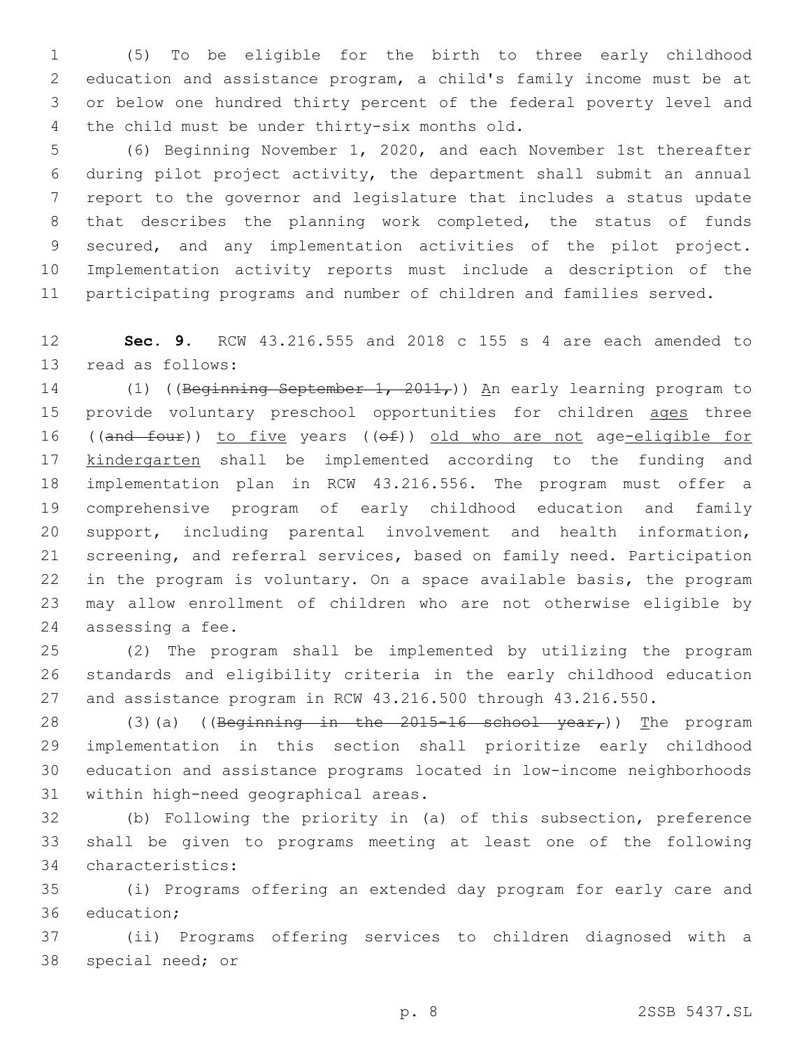(5) To be eligible for the birth to three early childhood education and assistance program, a child's family income must be at or below one hundred thirty percent of the federal poverty level and 4 the child must be under thirty-six months old.

 (6) Beginning November 1, 2020, and each November 1st thereafter during pilot project activity, the department shall submit an annual report to the governor and legislature that includes a status update that describes the planning work completed, the status of funds secured, and any implementation activities of the pilot project. Implementation activity reports must include a description of the participating programs and number of children and families served.

 **Sec. 9.** RCW 43.216.555 and 2018 c 155 s 4 are each amended to 13 read as follows:

14 (1) ((Beginning September 1, 2011,)) An early learning program to 15 provide voluntary preschool opportunities for children ages three 16 ((and four)) to five years ((of)) old who are not age-eligible for 17 kindergarten shall be implemented according to the funding and implementation plan in RCW 43.216.556. The program must offer a comprehensive program of early childhood education and family support, including parental involvement and health information, screening, and referral services, based on family need. Participation in the program is voluntary. On a space available basis, the program may allow enrollment of children who are not otherwise eligible by 24 assessing a fee.

 (2) The program shall be implemented by utilizing the program standards and eligibility criteria in the early childhood education and assistance program in RCW 43.216.500 through 43.216.550.

28 (3)(a) ((Beginning in the 2015-16 school year,)) The program implementation in this section shall prioritize early childhood education and assistance programs located in low-income neighborhoods 31 within high-need geographical areas.

 (b) Following the priority in (a) of this subsection, preference shall be given to programs meeting at least one of the following 34 characteristics:

 (i) Programs offering an extended day program for early care and 36 education;

 (ii) Programs offering services to children diagnosed with a 38 special need; or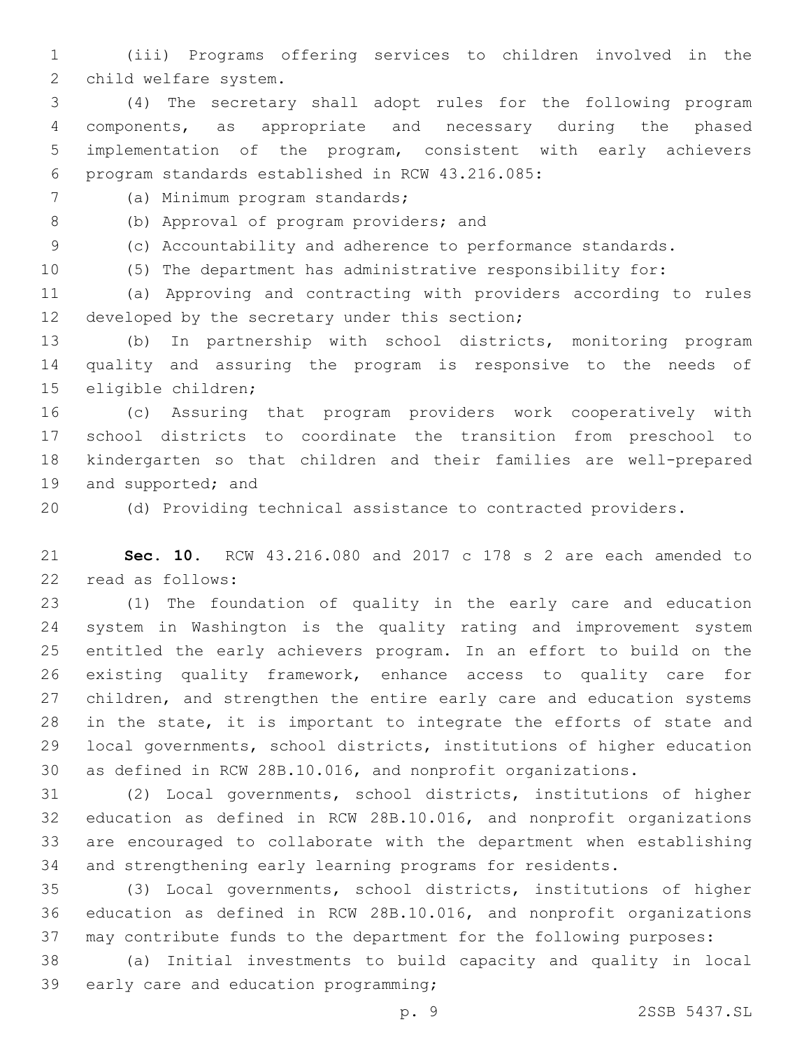(iii) Programs offering services to children involved in the 2 child welfare system.

 (4) The secretary shall adopt rules for the following program components, as appropriate and necessary during the phased implementation of the program, consistent with early achievers 6 program standards established in RCW 43.216.085:

7 (a) Minimum program standards;

8 (b) Approval of program providers; and

(c) Accountability and adherence to performance standards.

(5) The department has administrative responsibility for:

 (a) Approving and contracting with providers according to rules 12 developed by the secretary under this section;

 (b) In partnership with school districts, monitoring program quality and assuring the program is responsive to the needs of 15 eligible children;

 (c) Assuring that program providers work cooperatively with school districts to coordinate the transition from preschool to kindergarten so that children and their families are well-prepared 19 and supported; and

(d) Providing technical assistance to contracted providers.

 **Sec. 10.** RCW 43.216.080 and 2017 c 178 s 2 are each amended to 22 read as follows:

 (1) The foundation of quality in the early care and education system in Washington is the quality rating and improvement system entitled the early achievers program. In an effort to build on the existing quality framework, enhance access to quality care for children, and strengthen the entire early care and education systems in the state, it is important to integrate the efforts of state and local governments, school districts, institutions of higher education as defined in RCW 28B.10.016, and nonprofit organizations.

 (2) Local governments, school districts, institutions of higher education as defined in RCW 28B.10.016, and nonprofit organizations are encouraged to collaborate with the department when establishing and strengthening early learning programs for residents.

 (3) Local governments, school districts, institutions of higher education as defined in RCW 28B.10.016, and nonprofit organizations may contribute funds to the department for the following purposes:

 (a) Initial investments to build capacity and quality in local 39 early care and education programming;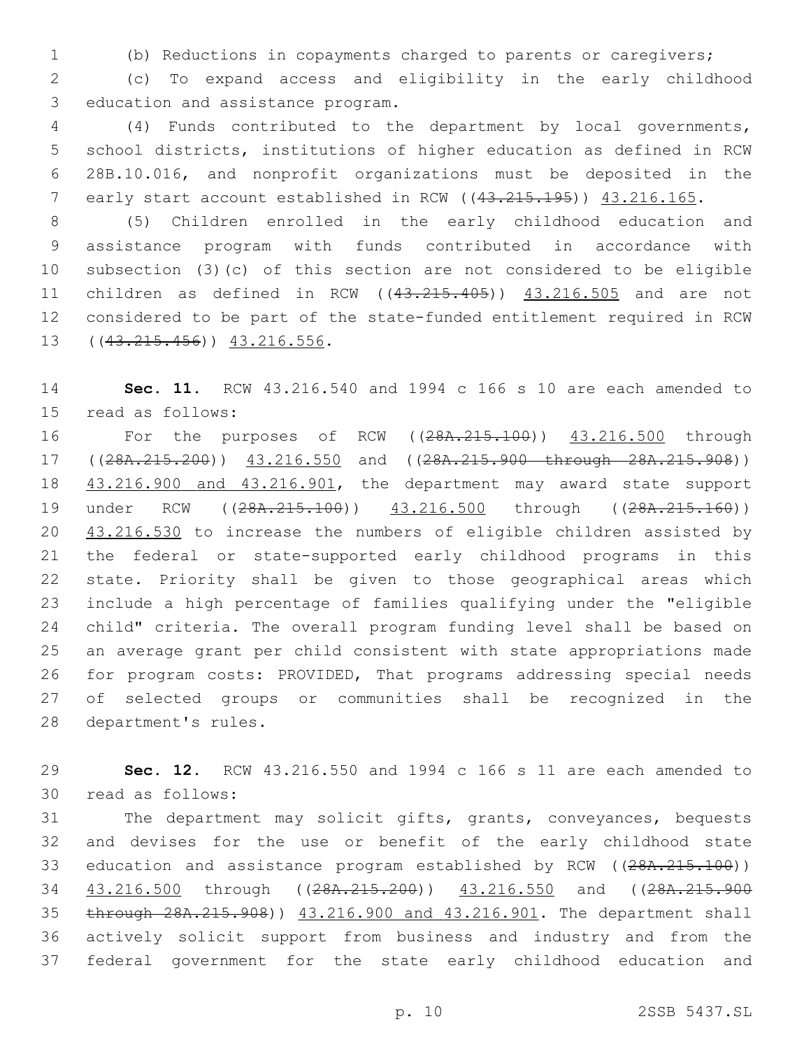(b) Reductions in copayments charged to parents or caregivers;

 (c) To expand access and eligibility in the early childhood 3 education and assistance program.

 (4) Funds contributed to the department by local governments, school districts, institutions of higher education as defined in RCW 28B.10.016, and nonprofit organizations must be deposited in the 7 early start account established in RCW ((43.215.195)) 43.216.165.

 (5) Children enrolled in the early childhood education and assistance program with funds contributed in accordance with subsection (3)(c) of this section are not considered to be eligible 11 children as defined in RCW ((43.215.405)) 43.216.505 and are not considered to be part of the state-funded entitlement required in RCW 13 ((43.215.456)) 43.216.556.

 **Sec. 11.** RCW 43.216.540 and 1994 c 166 s 10 are each amended to 15 read as follows:

 For the purposes of RCW ((28A.215.100)) 43.216.500 through 17 ((28A.215.200)) 43.216.550 and ((28A.215.900 through 28A.215.908)) 43.216.900 and 43.216.901, the department may award state support 19 under RCW ((28A.215.100)) 43.216.500 through ((28A.215.160)) 20 43.216.530 to increase the numbers of eligible children assisted by the federal or state-supported early childhood programs in this state. Priority shall be given to those geographical areas which include a high percentage of families qualifying under the "eligible child" criteria. The overall program funding level shall be based on an average grant per child consistent with state appropriations made for program costs: PROVIDED, That programs addressing special needs of selected groups or communities shall be recognized in the 28 department's rules.

 **Sec. 12.** RCW 43.216.550 and 1994 c 166 s 11 are each amended to 30 read as follows:

 The department may solicit gifts, grants, conveyances, bequests and devises for the use or benefit of the early childhood state 33 education and assistance program established by RCW ((28A.215.100)) 34 43.216.500 through ((28A.215.200)) 43.216.550 and ((28A.215.900 through 28A.215.908)) 43.216.900 and 43.216.901. The department shall actively solicit support from business and industry and from the federal government for the state early childhood education and